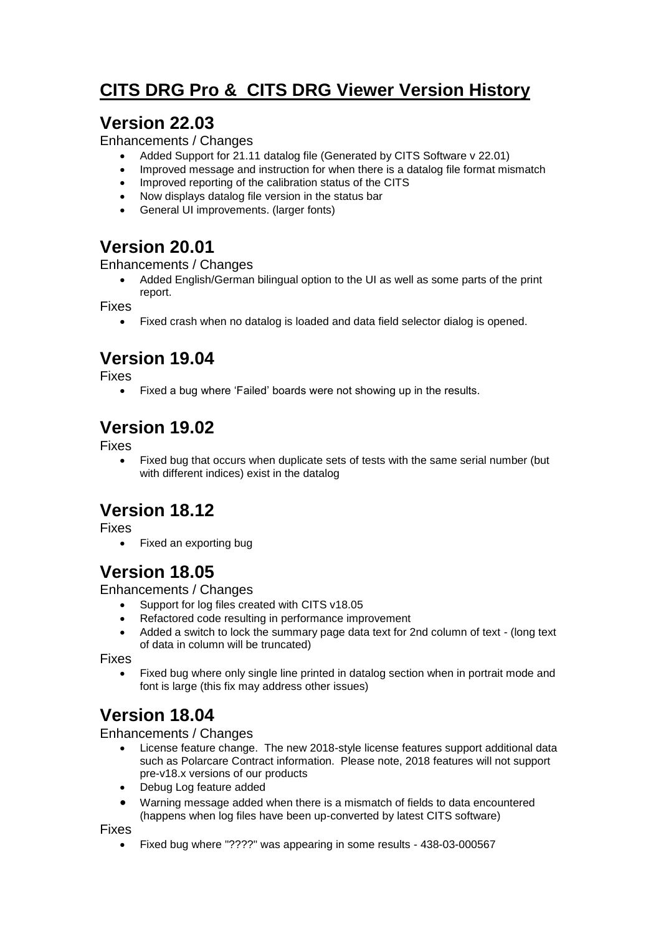# **CITS DRG Pro & CITS DRG Viewer Version History**

## **Version 22.03**

Enhancements / Changes

- Added Support for 21.11 datalog file (Generated by CITS Software v 22.01)
- Improved message and instruction for when there is a datalog file format mismatch
- Improved reporting of the calibration status of the CITS
- Now displays datalog file version in the status bar
- General UI improvements. (larger fonts)

## **Version 20.01**

Enhancements / Changes

 Added English/German bilingual option to the UI as well as some parts of the print report.

Fixes

Fixed crash when no datalog is loaded and data field selector dialog is opened.

# **Version 19.04**

Fixes

• Fixed a bug where 'Failed' boards were not showing up in the results.

# **Version 19.02**

Fixes

 Fixed bug that occurs when duplicate sets of tests with the same serial number (but with different indices) exist in the datalog

# **Version 18.12**

Fixes

Fixed an exporting bug

## **Version 18.05**

Enhancements / Changes

- Support for log files created with CITS v18.05
- Refactored code resulting in performance improvement
- Added a switch to lock the summary page data text for 2nd column of text (long text of data in column will be truncated)

Fixes

 Fixed bug where only single line printed in datalog section when in portrait mode and font is large (this fix may address other issues)

## **Version 18.04**

#### Enhancements / Changes

- License feature change. The new 2018-style license features support additional data such as Polarcare Contract information. Please note, 2018 features will not support pre-v18.x versions of our products
- Debug Log feature added
- Warning message added when there is a mismatch of fields to data encountered (happens when log files have been up-converted by latest CITS software)

Fixes

Fixed bug where "????" was appearing in some results - 438-03-000567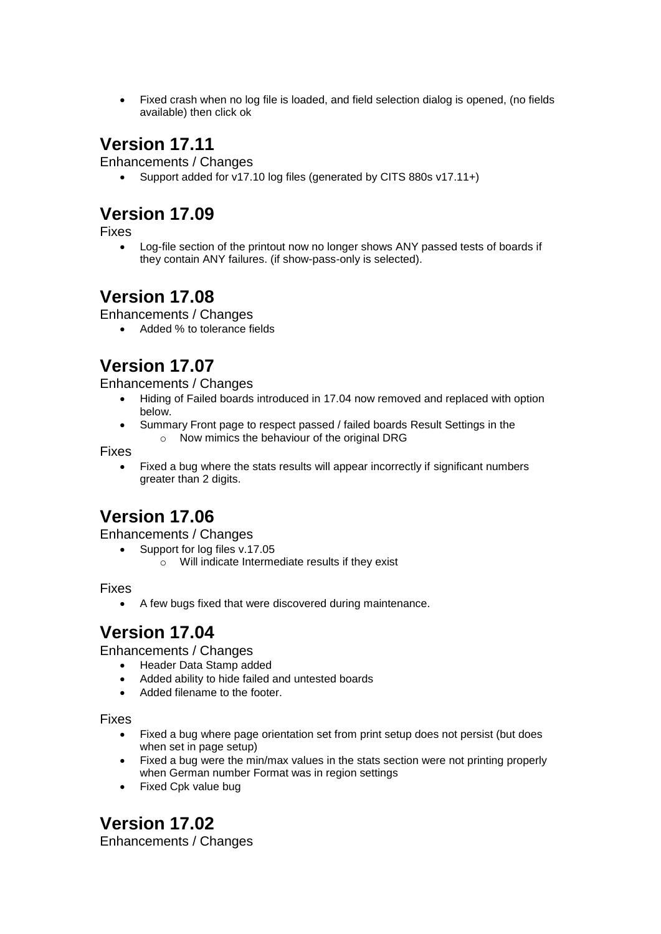Fixed crash when no log file is loaded, and field selection dialog is opened, (no fields available) then click ok

#### **Version 17.11**

Enhancements / Changes

Support added for v17.10 log files (generated by CITS 880s v17.11+)

## **Version 17.09**

Fixes

 Log-file section of the printout now no longer shows ANY passed tests of boards if they contain ANY failures. (if show-pass-only is selected).

## **Version 17.08**

Enhancements / Changes

Added % to tolerance fields

## **Version 17.07**

Enhancements / Changes

- Hiding of Failed boards introduced in 17.04 now removed and replaced with option below.
- Summary Front page to respect passed / failed boards Result Settings in the o Now mimics the behaviour of the original DRG

Fixes

 Fixed a bug where the stats results will appear incorrectly if significant numbers greater than 2 digits.

# **Version 17.06**

Enhancements / Changes

- Support for log files v.17.05
	- o Will indicate Intermediate results if they exist

Fixes

A few bugs fixed that were discovered during maintenance.

## **Version 17.04**

Enhancements / Changes

- Header Data Stamp added
- Added ability to hide failed and untested boards
- Added filename to the footer.

Fixes

- Fixed a bug where page orientation set from print setup does not persist (but does when set in page setup)
- Fixed a bug were the min/max values in the stats section were not printing properly when German number Format was in region settings
- Fixed Cpk value bug

**Version 17.02**

Enhancements / Changes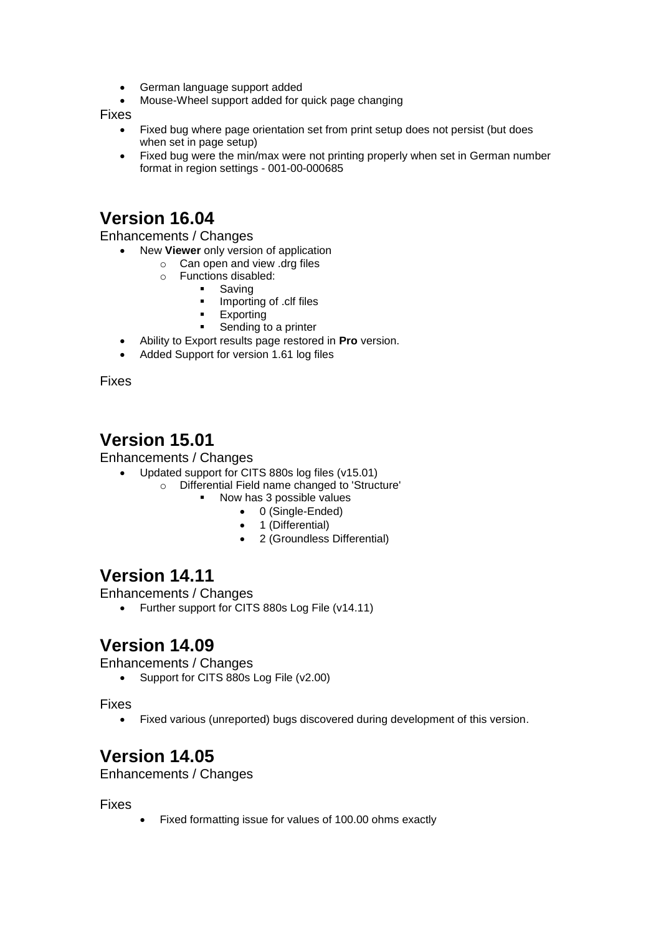- German language support added
- Mouse-Wheel support added for quick page changing

Fixes

- Fixed bug where page orientation set from print setup does not persist (but does when set in page setup)
- Fixed bug were the min/max were not printing properly when set in German number format in region settings - 001-00-000685

#### **Version 16.04**

Enhancements / Changes

- New **Viewer** only version of application
	- $\circ$  Can open and view .drg files
		- o Functions disabled:
			- Saving
				- Importing of .clf files
			- Exporting
			- Sending to a printer
- Ability to Export results page restored in **Pro** version.
- Added Support for version 1.61 log files

Fixes

## **Version 15.01**

Enhancements / Changes

- Updated support for CITS 880s log files (v15.01)
	- o Differential Field name changed to 'Structure'
		- Now has 3 possible values
			- 0 (Single-Ended)
			- 1 (Differential)
			- 2 (Groundless Differential)

## **Version 14.11**

Enhancements / Changes

• Further support for CITS 880s Log File (v14.11)

#### **Version 14.09**

Enhancements / Changes

Support for CITS 880s Log File (v2.00)

Fixes

Fixed various (unreported) bugs discovered during development of this version.

## **Version 14.05**

Enhancements / Changes

#### Fixes

Fixed formatting issue for values of 100.00 ohms exactly